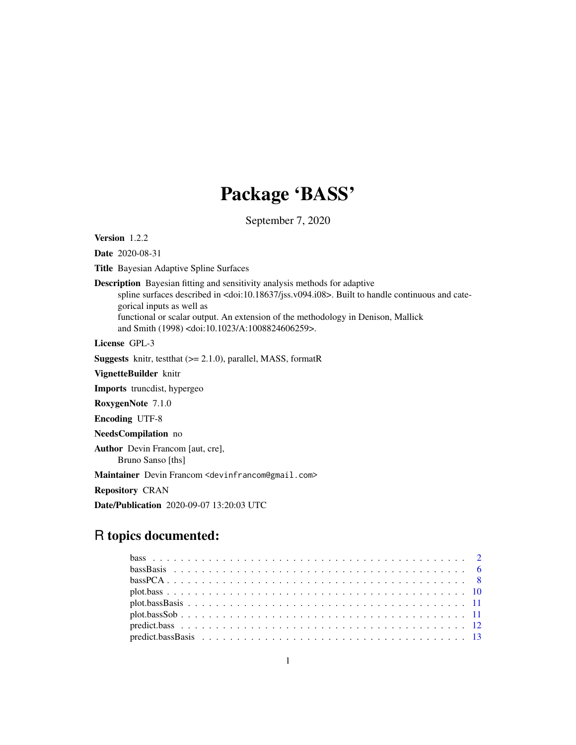# Package 'BASS'

September 7, 2020

Version 1.2.2

Date 2020-08-31

Title Bayesian Adaptive Spline Surfaces

Description Bayesian fitting and sensitivity analysis methods for adaptive

spline surfaces described in <doi:10.18637/jss.v094.i08>. Built to handle continuous and categorical inputs as well as functional or scalar output. An extension of the methodology in Denison, Mallick

and Smith (1998) <doi:10.1023/A:1008824606259>.

License GPL-3

**Suggests** knitr, testthat  $(>= 2.1.0)$ , parallel, MASS, formatR

VignetteBuilder knitr

Imports truncdist, hypergeo

RoxygenNote 7.1.0

Encoding UTF-8

NeedsCompilation no

Author Devin Francom [aut, cre], Bruno Sanso [ths]

Maintainer Devin Francom <devinfrancom@gmail.com>

Repository CRAN

Date/Publication 2020-09-07 13:20:03 UTC

# R topics documented: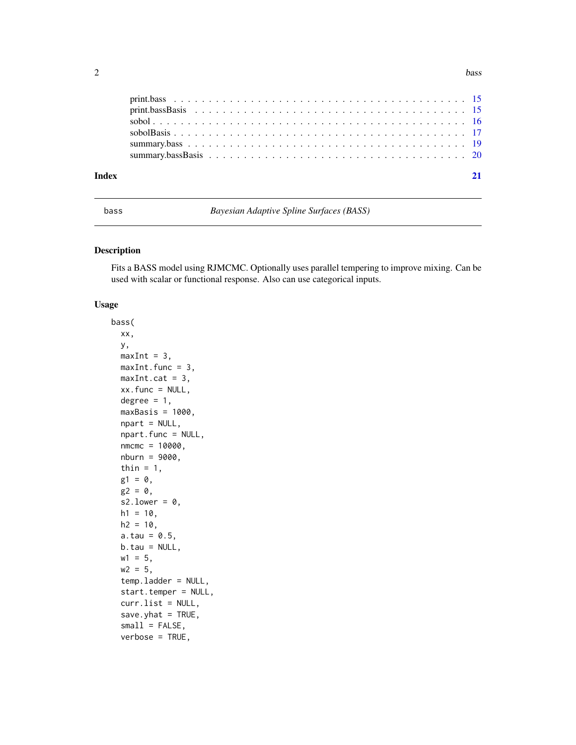<span id="page-1-0"></span>

| Index |  |  |
|-------|--|--|
|       |  |  |
|       |  |  |
|       |  |  |
|       |  |  |
|       |  |  |
|       |  |  |

<span id="page-1-1"></span>bass *Bayesian Adaptive Spline Surfaces (BASS)*

### Description

Fits a BASS model using RJMCMC. Optionally uses parallel tempering to improve mixing. Can be used with scalar or functional response. Also can use categorical inputs.

#### Usage

```
bass(
  xx,
 y,
 maxInt = 3,
 maxInt.func = 3,
 maxInt.cat = 3,xx.func = NULL,degree = 1,
  maxBasis = 1000,
  npart = NULL,
  npart.func = NULL,
  nmcmc = 10000,
  nburn = 9000,thin = 1,
 g1 = 0,
 g2 = 0,
  s2.lower = 0,
 h1 = 10,
 h2 = 10,
  a.tau = 0.5,
 b.tau = NULL,
 w1 = 5,
 w2 = 5,
  temp.ladder = NULL,
  start.temper = NULL,
  curr.list = NULL,
  save.yhat = TRUE,
  small = FALSE,verbose = TRUE,
```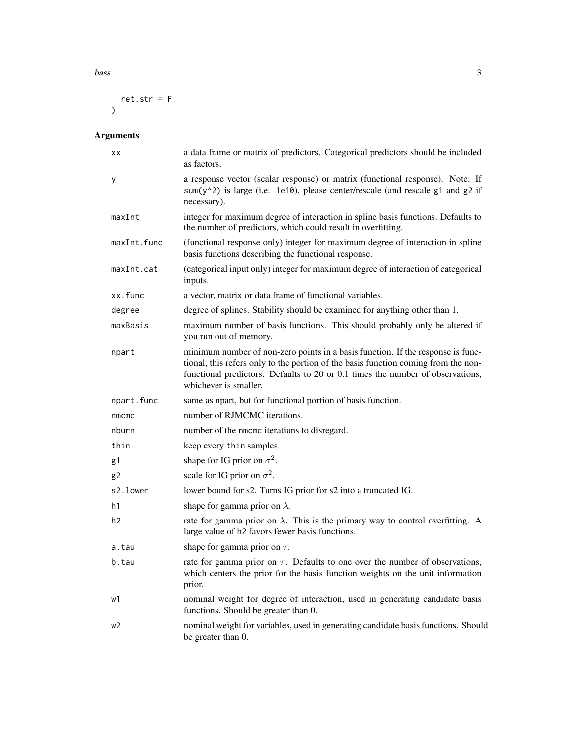```
bass 3<sup>3</sup>
```

```
ret.str = F
\sum_{i=1}^{n}
```

| ХX          | a data frame or matrix of predictors. Categorical predictors should be included<br>as factors.                                                                                                                                                                                   |
|-------------|----------------------------------------------------------------------------------------------------------------------------------------------------------------------------------------------------------------------------------------------------------------------------------|
| у           | a response vector (scalar response) or matrix (functional response). Note: If<br>sum(y^2) is large (i.e. 1e10), please center/rescale (and rescale g1 and g2 if<br>necessary).                                                                                                   |
| maxInt      | integer for maximum degree of interaction in spline basis functions. Defaults to<br>the number of predictors, which could result in overfitting.                                                                                                                                 |
| maxInt.func | (functional response only) integer for maximum degree of interaction in spline<br>basis functions describing the functional response.                                                                                                                                            |
| maxInt.cat  | (categorical input only) integer for maximum degree of interaction of categorical<br>inputs.                                                                                                                                                                                     |
| xx.func     | a vector, matrix or data frame of functional variables.                                                                                                                                                                                                                          |
| degree      | degree of splines. Stability should be examined for anything other than 1.                                                                                                                                                                                                       |
| maxBasis    | maximum number of basis functions. This should probably only be altered if<br>you run out of memory.                                                                                                                                                                             |
| npart       | minimum number of non-zero points in a basis function. If the response is func-<br>tional, this refers only to the portion of the basis function coming from the non-<br>functional predictors. Defaults to 20 or 0.1 times the number of observations,<br>whichever is smaller. |
| npart.func  | same as npart, but for functional portion of basis function.                                                                                                                                                                                                                     |
| nmcmc       | number of RJMCMC iterations.                                                                                                                                                                                                                                                     |
| nburn       | number of the nmcmc iterations to disregard.                                                                                                                                                                                                                                     |
| thin        | keep every thin samples                                                                                                                                                                                                                                                          |
| g1          | shape for IG prior on $\sigma^2$ .                                                                                                                                                                                                                                               |
| g2          | scale for IG prior on $\sigma^2$ .                                                                                                                                                                                                                                               |
| s2.lower    | lower bound for s2. Turns IG prior for s2 into a truncated IG.                                                                                                                                                                                                                   |
| h1          | shape for gamma prior on $\lambda$ .                                                                                                                                                                                                                                             |
| h2          | rate for gamma prior on $\lambda$ . This is the primary way to control overfitting. A<br>large value of h2 favors fewer basis functions.                                                                                                                                         |
| a.tau       | shape for gamma prior on $\tau$ .                                                                                                                                                                                                                                                |
| b.tau       | rate for gamma prior on $\tau$ . Defaults to one over the number of observations,<br>which centers the prior for the basis function weights on the unit information<br>prior.                                                                                                    |
| w1          | nominal weight for degree of interaction, used in generating candidate basis<br>functions. Should be greater than 0.                                                                                                                                                             |
| w2          | nominal weight for variables, used in generating candidate basis functions. Should<br>be greater than 0.                                                                                                                                                                         |
|             |                                                                                                                                                                                                                                                                                  |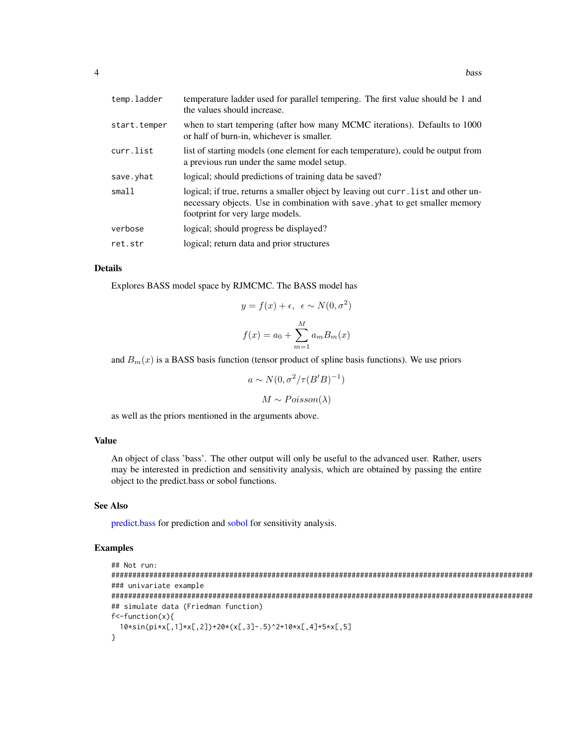<span id="page-3-0"></span>

| temp.ladder  | temperature ladder used for parallel tempering. The first value should be 1 and<br>the values should increase.                                                                                        |
|--------------|-------------------------------------------------------------------------------------------------------------------------------------------------------------------------------------------------------|
| start.temper | when to start tempering (after how many MCMC iterations). Defaults to 1000<br>or half of burn-in, whichever is smaller.                                                                               |
| curr.list    | list of starting models (one element for each temperature), could be output from<br>a previous run under the same model setup.                                                                        |
| save.yhat    | logical; should predictions of training data be saved?                                                                                                                                                |
| small1       | logical; if true, returns a smaller object by leaving out curr. list and other un-<br>necessary objects. Use in combination with save, yhat to get smaller memory<br>footprint for very large models. |
| verbose      | logical; should progress be displayed?                                                                                                                                                                |
| ret.str      | logical; return data and prior structures                                                                                                                                                             |

### Details

Explores BASS model space by RJMCMC. The BASS model has

$$
y = f(x) + \epsilon, \ \epsilon \sim N(0, \sigma^2)
$$

$$
f(x) = a_0 + \sum_{m=1}^{M} a_m B_m(x)
$$

and  $B_m(x)$  is a BASS basis function (tensor product of spline basis functions). We use priors

 $a \sim N(0, \sigma^2/\tau(B'B)^{-1})$  $M \sim Poisson(\lambda)$ 

as well as the priors mentioned in the arguments above.

# Value

An object of class 'bass'. The other output will only be useful to the advanced user. Rather, users may be interested in prediction and sensitivity analysis, which are obtained by passing the entire object to the predict.bass or sobol functions.

#### See Also

[predict.bass](#page-11-1) for prediction and [sobol](#page-15-1) for sensitivity analysis.

## Examples

```
## Not run:
####################################################################################################
### univariate example
####################################################################################################
## simulate data (Friedman function)
f<-function(x){
  10*sin(pixx[,1] * x[,2]) + 20 * (x[,3] - .5)^2 + 10 * x[,4] + 5 * x[,5]}
```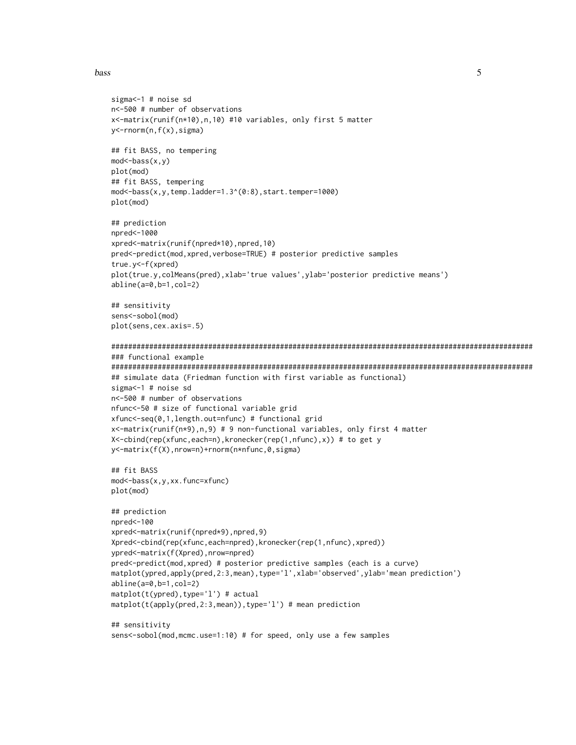#### bass 5

```
sigma<-1 # noise sd
n<-500 # number of observations
x<-matrix(runif(n*10),n,10) #10 variables, only first 5 matter
y<-rnorm(n,f(x),sigma)
## fit BASS, no tempering
mod<-bass(x,y)
plot(mod)
## fit BASS, tempering
mod<-bass(x,y,temp.ladder=1.3^(0:8),start.temper=1000)
plot(mod)
## prediction
npred<-1000
xpred<-matrix(runif(npred*10),npred,10)
pred<-predict(mod,xpred,verbose=TRUE) # posterior predictive samples
true.y<-f(xpred)
plot(true.y,colMeans(pred),xlab='true values',ylab='posterior predictive means')
abline(a=0,b=1,col=2)
## sensitivity
sens<-sobol(mod)
plot(sens,cex.axis=.5)
####################################################################################################
### functional example
####################################################################################################
## simulate data (Friedman function with first variable as functional)
sigma<-1 # noise sd
n<-500 # number of observations
nfunc<-50 # size of functional variable grid
xfunc<-seq(0,1,length.out=nfunc) # functional grid
x<-matrix(runif(n*9),n,9) # 9 non-functional variables, only first 4 matter
X<-cbind(rep(xfunc,each=n),kronecker(rep(1,nfunc),x)) # to get y
y<-matrix(f(X),nrow=n)+rnorm(n*nfunc,0,sigma)
## fit BASS
mod<-bass(x,y,xx.func=xfunc)
plot(mod)
## prediction
npred<-100
xpred<-matrix(runif(npred*9),npred,9)
Xpred<-cbind(rep(xfunc,each=npred),kronecker(rep(1,nfunc),xpred))
ypred<-matrix(f(Xpred),nrow=npred)
pred<-predict(mod,xpred) # posterior predictive samples (each is a curve)
matplot(ypred,apply(pred,2:3,mean),type='l',xlab='observed',ylab='mean prediction')
abline(a=0,b=1,col=2)
matplot(t(ypred),type='l') # actual
matplot(t(apply(pred,2:3,mean)),type='l') # mean prediction
## sensitivity
sens<-sobol(mod,mcmc.use=1:10) # for speed, only use a few samples
```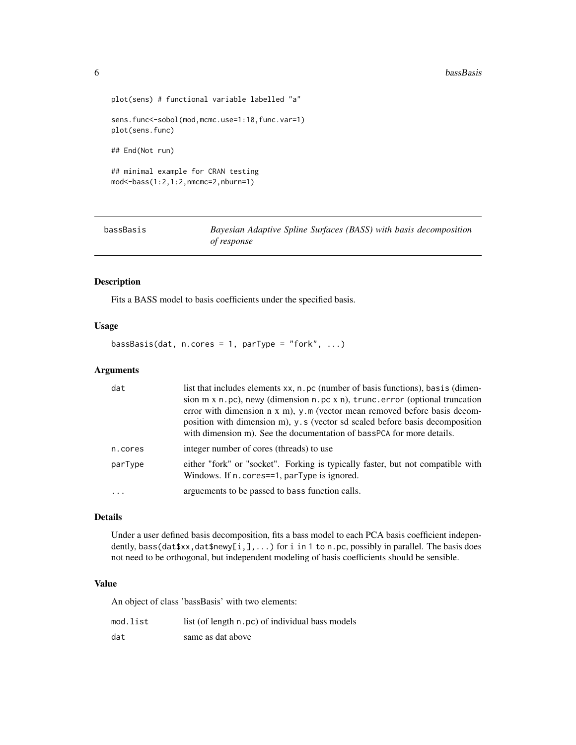#### <span id="page-5-0"></span>**6** bassBasis **bassBasis bassBasis bassBasis bassBasis bassBasis**

```
plot(sens) # functional variable labelled "a"
sens.func<-sobol(mod,mcmc.use=1:10,func.var=1)
plot(sens.func)
## End(Not run)
## minimal example for CRAN testing
mod<-bass(1:2,1:2,nmcmc=2,nburn=1)
```
<span id="page-5-1"></span>

| bassBasis |  |
|-----------|--|
|           |  |

Bayesian Adaptive Spline Surfaces (BASS) with basis decomposition *of response*

# Description

Fits a BASS model to basis coefficients under the specified basis.

### Usage

bassBasis(dat, n.cores = 1, parType = "fork",  $\ldots$ )

#### Arguments

| dat     | list that includes elements xx, n. pc (number of basis functions), basis (dimen-<br>sion $m \times n$ . pc), newy (dimension $n$ . pc $x$ n), trunc. error (optional truncation<br>error with dimension $n \times m$ , $y \cdot m$ (vector mean removed before basis decom-<br>position with dimension m), y.s (vector sd scaled before basis decomposition<br>with dimension m). See the documentation of bassPCA for more details. |
|---------|--------------------------------------------------------------------------------------------------------------------------------------------------------------------------------------------------------------------------------------------------------------------------------------------------------------------------------------------------------------------------------------------------------------------------------------|
| n.cores | integer number of cores (threads) to use                                                                                                                                                                                                                                                                                                                                                                                             |
| parType | either "fork" or "socket". Forking is typically faster, but not compatible with<br>Windows. If n. cores==1, parType is ignored.                                                                                                                                                                                                                                                                                                      |
| $\cdot$ | arguements to be passed to bass function calls.                                                                                                                                                                                                                                                                                                                                                                                      |

#### Details

Under a user defined basis decomposition, fits a bass model to each PCA basis coefficient independently, bass(dat\$xx,dat\$newy[i,],...) for i in 1 to n.pc, possibly in parallel. The basis does not need to be orthogonal, but independent modeling of basis coefficients should be sensible.

#### Value

An object of class 'bassBasis' with two elements:

| mod.list | list (of length n.pc) of individual bass models |
|----------|-------------------------------------------------|
| dat      | same as dat above                               |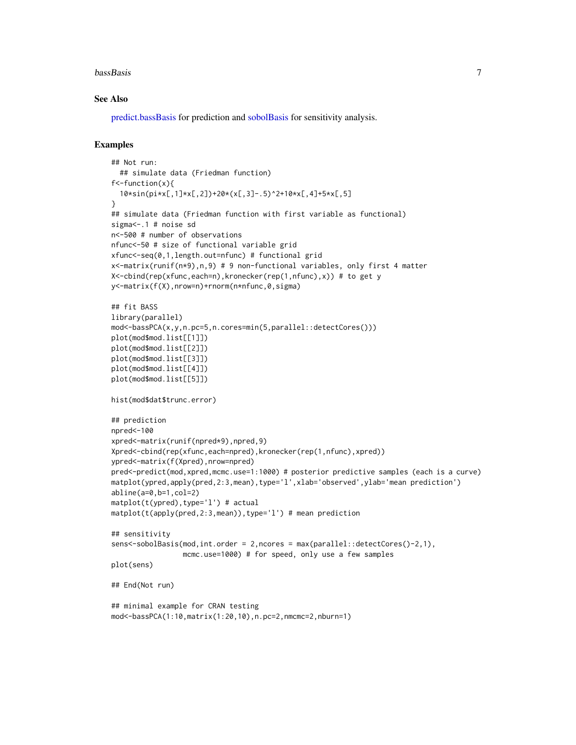#### <span id="page-6-0"></span>**bassBasis** 7

#### See Also

[predict.bassBasis](#page-12-1) for prediction and [sobolBasis](#page-16-1) for sensitivity analysis.

### Examples

```
## Not run:
  ## simulate data (Friedman function)
f<-function(x){
  10*sin(pixx[,1] * x[,2] + 20 * (x[,3] - .5)^2 + 10 * x[,4] + 5 * x[,5]}
## simulate data (Friedman function with first variable as functional)
sigma<-.1 # noise sd
n<-500 # number of observations
nfunc<-50 # size of functional variable grid
xfunc<-seq(0,1,length.out=nfunc) # functional grid
x<-matrix(runif(n*9),n,9) # 9 non-functional variables, only first 4 matter
X<-cbind(rep(xfunc,each=n),kronecker(rep(1,nfunc),x)) # to get y
y<-matrix(f(X),nrow=n)+rnorm(n*nfunc,0,sigma)
## fit BASS
library(parallel)
mod<-bassPCA(x,y,n.pc=5,n.cores=min(5,parallel::detectCores()))
plot(mod$mod.list[[1]])
plot(mod$mod.list[[2]])
plot(mod$mod.list[[3]])
plot(mod$mod.list[[4]])
plot(mod$mod.list[[5]])
hist(mod$dat$trunc.error)
## prediction
npred<-100
xpred<-matrix(runif(npred*9),npred,9)
Xpred<-cbind(rep(xfunc,each=npred),kronecker(rep(1,nfunc),xpred))
ypred<-matrix(f(Xpred),nrow=npred)
pred<-predict(mod,xpred,mcmc.use=1:1000) # posterior predictive samples (each is a curve)
matplot(ypred,apply(pred,2:3,mean),type='l',xlab='observed',ylab='mean prediction')
abline(a=0,b=1,col=2)
matplot(t(ypred),type='l') # actual
matplot(t(apply(pred,2:3,mean)),type='l') # mean prediction
## sensitivity
sens<-sobolBasis(mod,int.order = 2,ncores = max(parallel::detectCores()-2,1),
                 mcmc.use=1000) # for speed, only use a few samples
plot(sens)
## End(Not run)
## minimal example for CRAN testing
mod<-bassPCA(1:10,matrix(1:20,10),n.pc=2,nmcmc=2,nburn=1)
```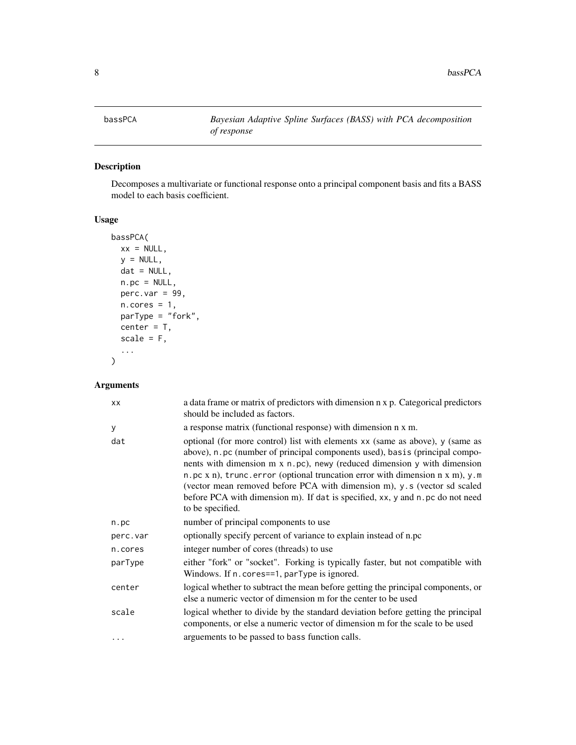<span id="page-7-1"></span><span id="page-7-0"></span>

# Description

Decomposes a multivariate or functional response onto a principal component basis and fits a BASS model to each basis coefficient.

# Usage

```
bassPCA(
 xx = NULL,y = NULL,dat = NULL,n.pc = NULL,perc.var = 99,
 n.cores = 1,
 parType = "fork",
 center = T,
 scale = F,
  ...
)
```

| <b>XX</b> | a data frame or matrix of predictors with dimension n x p. Categorical predictors<br>should be included as factors.                                                                                                                                                                                                                                                                                                                                                                                                 |
|-----------|---------------------------------------------------------------------------------------------------------------------------------------------------------------------------------------------------------------------------------------------------------------------------------------------------------------------------------------------------------------------------------------------------------------------------------------------------------------------------------------------------------------------|
| y         | a response matrix (functional response) with dimension n x m.                                                                                                                                                                                                                                                                                                                                                                                                                                                       |
| dat       | optional (for more control) list with elements xx (same as above), y (same as<br>above), n. pc (number of principal components used), basis (principal compo-<br>nents with dimension m x n.pc), newy (reduced dimension y with dimension<br>n.pc x n), trunc.error (optional truncation error with dimension $n \times m$ ), y.m<br>(vector mean removed before PCA with dimension m), y.s (vector sd scaled<br>before PCA with dimension m). If dat is specified, xx, y and n. pc do not need<br>to be specified. |
| n.pc      | number of principal components to use                                                                                                                                                                                                                                                                                                                                                                                                                                                                               |
| perc.var  | optionally specify percent of variance to explain instead of n.pc                                                                                                                                                                                                                                                                                                                                                                                                                                                   |
| n.cores   | integer number of cores (threads) to use                                                                                                                                                                                                                                                                                                                                                                                                                                                                            |
| parType   | either "fork" or "socket". Forking is typically faster, but not compatible with<br>Windows. If n. cores==1, parType is ignored.                                                                                                                                                                                                                                                                                                                                                                                     |
| center    | logical whether to subtract the mean before getting the principal components, or<br>else a numeric vector of dimension m for the center to be used                                                                                                                                                                                                                                                                                                                                                                  |
| scale     | logical whether to divide by the standard deviation before getting the principal<br>components, or else a numeric vector of dimension m for the scale to be used                                                                                                                                                                                                                                                                                                                                                    |
| $\cdots$  | arguements to be passed to bass function calls.                                                                                                                                                                                                                                                                                                                                                                                                                                                                     |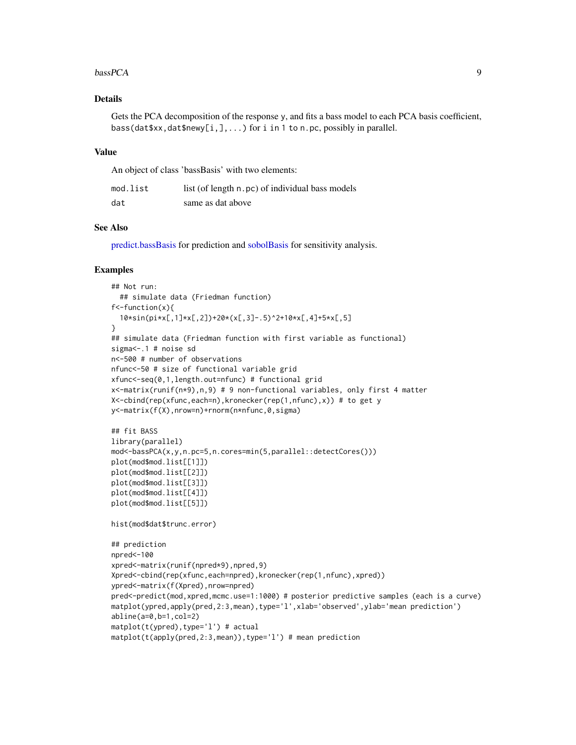#### <span id="page-8-0"></span> $bassPCA$  9

# Details

Gets the PCA decomposition of the response y, and fits a bass model to each PCA basis coefficient, bass(dat\$xx,dat\$newy[i,],...) for i in 1 to n.pc, possibly in parallel.

#### Value

An object of class 'bassBasis' with two elements:

| mod.list | list (of length n.pc) of individual bass models |
|----------|-------------------------------------------------|
| dat      | same as dat above                               |

# See Also

[predict.bassBasis](#page-12-1) for prediction and [sobolBasis](#page-16-1) for sensitivity analysis.

#### Examples

```
## Not run:
  ## simulate data (Friedman function)
f<-function(x){
  10*sin(pi*x[,1]*x[,2])+20*(x[,3]-.5)^2+10*x[,4]+5*x[,5]
}
## simulate data (Friedman function with first variable as functional)
sigma<-.1 # noise sd
n<-500 # number of observations
nfunc<-50 # size of functional variable grid
xfunc<-seq(0,1,length.out=nfunc) # functional grid
x<-matrix(runif(n*9),n,9) # 9 non-functional variables, only first 4 matter
X<-cbind(rep(xfunc,each=n),kronecker(rep(1,nfunc),x)) # to get y
y<-matrix(f(X),nrow=n)+rnorm(n*nfunc,0,sigma)
## fit BASS
library(parallel)
mod<-bassPCA(x,y,n.pc=5,n.cores=min(5,parallel::detectCores()))
plot(mod$mod.list[[1]])
plot(mod$mod.list[[2]])
plot(mod$mod.list[[3]])
plot(mod$mod.list[[4]])
plot(mod$mod.list[[5]])
hist(mod$dat$trunc.error)
## prediction
npred<-100
xpred<-matrix(runif(npred*9),npred,9)
Xpred<-cbind(rep(xfunc,each=npred),kronecker(rep(1,nfunc),xpred))
ypred<-matrix(f(Xpred),nrow=npred)
pred<-predict(mod,xpred,mcmc.use=1:1000) # posterior predictive samples (each is a curve)
matplot(ypred,apply(pred,2:3,mean),type='l',xlab='observed',ylab='mean prediction')
abline(a=0,b=1,col=2)
matplot(t(ypred),type='l') # actual
matplot(t(apply(pred,2:3,mean)),type='l') # mean prediction
```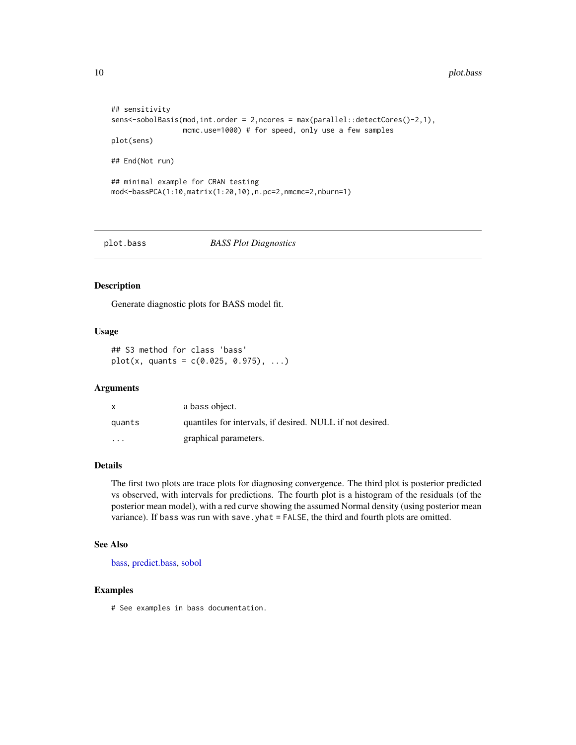```
## sensitivity
sens<-sobolBasis(mod,int.order = 2,ncores = max(parallel::detectCores()-2,1),
                 mcmc.use=1000) # for speed, only use a few samples
plot(sens)
## End(Not run)
## minimal example for CRAN testing
mod<-bassPCA(1:10,matrix(1:20,10),n.pc=2,nmcmc=2,nburn=1)
```
#### plot.bass *BASS Plot Diagnostics*

# Description

Generate diagnostic plots for BASS model fit.

# Usage

```
## S3 method for class 'bass'
plot(x, quants = c(0.025, 0.975), ...)
```
#### Arguments

| X                       | a bass object.                                            |
|-------------------------|-----------------------------------------------------------|
| quants                  | quantiles for intervals, if desired. NULL if not desired. |
| $\cdot$ $\cdot$ $\cdot$ | graphical parameters.                                     |

# Details

The first two plots are trace plots for diagnosing convergence. The third plot is posterior predicted vs observed, with intervals for predictions. The fourth plot is a histogram of the residuals (of the posterior mean model), with a red curve showing the assumed Normal density (using posterior mean variance). If bass was run with save.yhat = FALSE, the third and fourth plots are omitted.

#### See Also

[bass,](#page-1-1) [predict.bass,](#page-11-1) [sobol](#page-15-1)

#### Examples

# See examples in bass documentation.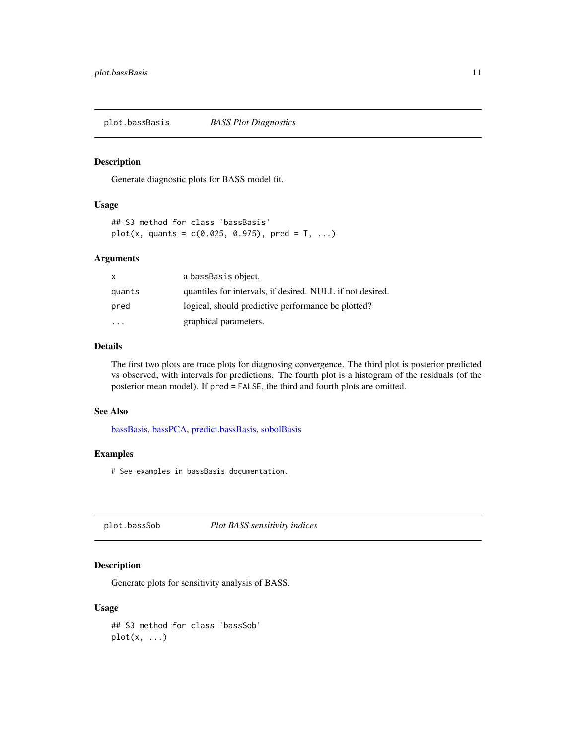<span id="page-10-0"></span>plot.bassBasis *BASS Plot Diagnostics*

# Description

Generate diagnostic plots for BASS model fit.

#### Usage

```
## S3 method for class 'bassBasis'
plot(x, quants = c(0.025, 0.975), pred = T, ...)
```
# Arguments

| $\mathsf{X}$ | a bassBasis object.                                       |
|--------------|-----------------------------------------------------------|
| quants       | quantiles for intervals, if desired. NULL if not desired. |
| pred         | logical, should predictive performance be plotted?        |
|              | graphical parameters.                                     |

# Details

The first two plots are trace plots for diagnosing convergence. The third plot is posterior predicted vs observed, with intervals for predictions. The fourth plot is a histogram of the residuals (of the posterior mean model). If pred = FALSE, the third and fourth plots are omitted.

#### See Also

[bassBasis,](#page-5-1) [bassPCA,](#page-7-1) [predict.bassBasis,](#page-12-1) [sobolBasis](#page-16-1)

#### Examples

# See examples in bassBasis documentation.

plot.bassSob *Plot BASS sensitivity indices*

#### Description

Generate plots for sensitivity analysis of BASS.

#### Usage

## S3 method for class 'bassSob'  $plot(x, \ldots)$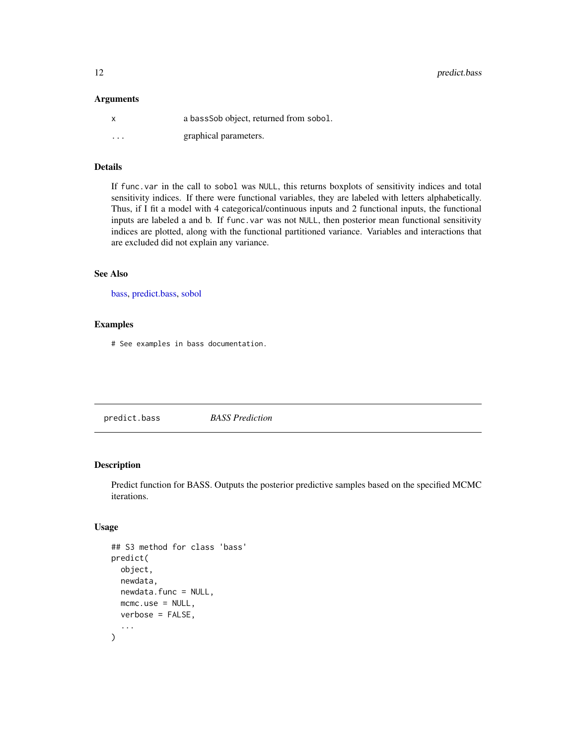<span id="page-11-0"></span>12 predict.bass

#### Arguments

| x                       | a bassSob object, returned from sobol. |
|-------------------------|----------------------------------------|
| $\cdot$ $\cdot$ $\cdot$ | graphical parameters.                  |

# Details

If func.var in the call to sobol was NULL, this returns boxplots of sensitivity indices and total sensitivity indices. If there were functional variables, they are labeled with letters alphabetically. Thus, if I fit a model with 4 categorical/continuous inputs and 2 functional inputs, the functional inputs are labeled a and b. If func.var was not NULL, then posterior mean functional sensitivity indices are plotted, along with the functional partitioned variance. Variables and interactions that are excluded did not explain any variance.

### See Also

[bass,](#page-1-1) [predict.bass,](#page-11-1) [sobol](#page-15-1)

#### Examples

# See examples in bass documentation.

<span id="page-11-1"></span>predict.bass *BASS Prediction*

# Description

Predict function for BASS. Outputs the posterior predictive samples based on the specified MCMC iterations.

#### Usage

```
## S3 method for class 'bass'
predict(
 object,
 newdata,
 newdata.func = NULL,
 mcmc.use = NULL,
 verbose = FALSE,
  ...
)
```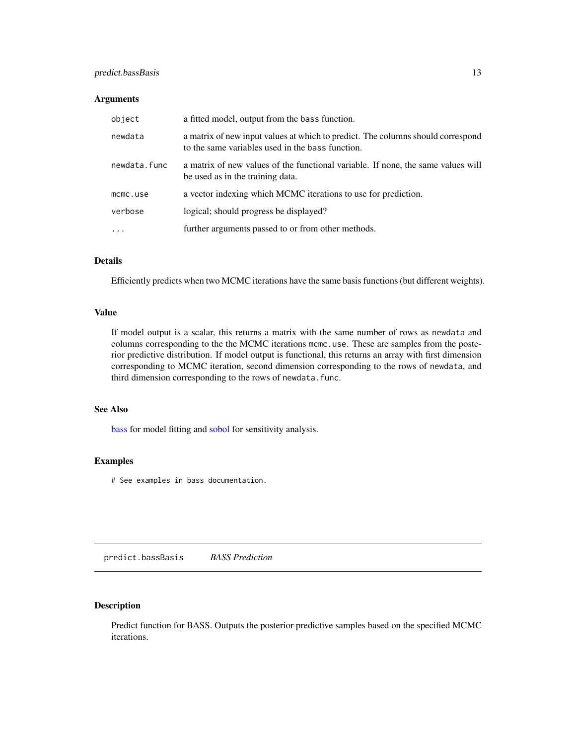# <span id="page-12-0"></span>predict.bassBasis 13

#### Arguments

| object       | a fitted model, output from the bass function.                                                                                      |
|--------------|-------------------------------------------------------------------------------------------------------------------------------------|
| newdata      | a matrix of new input values at which to predict. The columns should correspond<br>to the same variables used in the bass function. |
| newdata.func | a matrix of new values of the functional variable. If none, the same values will<br>be used as in the training data.                |
| mcmc.use     | a vector indexing which MCMC iterations to use for prediction.                                                                      |
| verbose      | logical; should progress be displayed?                                                                                              |
| $\cdot$      | further arguments passed to or from other methods.                                                                                  |

#### Details

Efficiently predicts when two MCMC iterations have the same basis functions (but different weights).

#### Value

If model output is a scalar, this returns a matrix with the same number of rows as newdata and columns corresponding to the the MCMC iterations mcmc.use. These are samples from the posterior predictive distribution. If model output is functional, this returns an array with first dimension corresponding to MCMC iteration, second dimension corresponding to the rows of newdata, and third dimension corresponding to the rows of newdata.func.

#### See Also

[bass](#page-1-1) for model fitting and [sobol](#page-15-1) for sensitivity analysis.

#### Examples

# See examples in bass documentation.

<span id="page-12-1"></span>predict.bassBasis *BASS Prediction*

# Description

Predict function for BASS. Outputs the posterior predictive samples based on the specified MCMC iterations.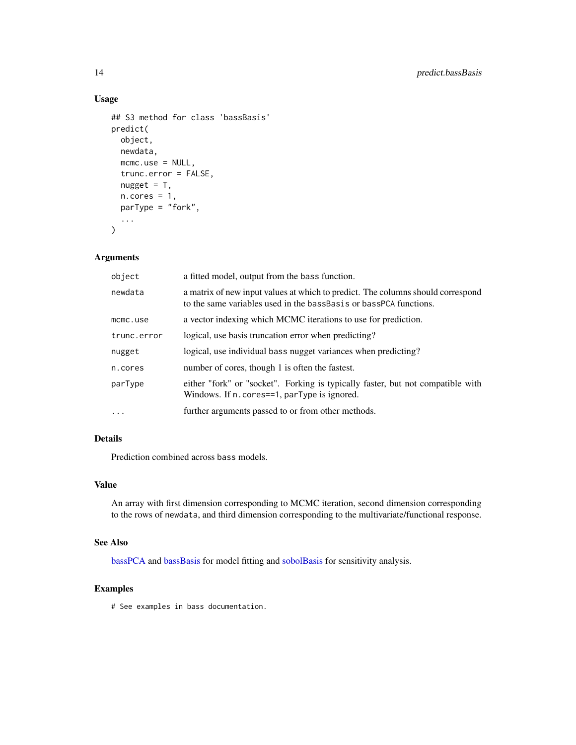# Usage

```
## S3 method for class 'bassBasis'
predict(
  object,
  newdata,
  mcmc.use = NULL,
  trunc.error = FALSE,
  nugget = T,
  n.core<sub>s</sub> = 1,
  parType = "fork",
  ...
)
```
#### Arguments

| object      | a fitted model, output from the bass function.                                                                                                       |
|-------------|------------------------------------------------------------------------------------------------------------------------------------------------------|
| newdata     | a matrix of new input values at which to predict. The columns should correspond<br>to the same variables used in the bassBasis or bassPCA functions. |
| mcmc.use    | a vector indexing which MCMC iterations to use for prediction.                                                                                       |
| trunc.error | logical, use basis truncation error when predicting?                                                                                                 |
| nugget      | logical, use individual bass nugget variances when predicting?                                                                                       |
| n.cores     | number of cores, though 1 is often the fastest.                                                                                                      |
| parType     | either "fork" or "socket". Forking is typically faster, but not compatible with<br>Windows. If n. cores==1, parType is ignored.                      |
| $\cdots$    | further arguments passed to or from other methods.                                                                                                   |

#### Details

Prediction combined across bass models.

#### Value

An array with first dimension corresponding to MCMC iteration, second dimension corresponding to the rows of newdata, and third dimension corresponding to the multivariate/functional response.

#### See Also

[bassPCA](#page-7-1) and [bassBasis](#page-5-1) for model fitting and [sobolBasis](#page-16-1) for sensitivity analysis.

# Examples

# See examples in bass documentation.

<span id="page-13-0"></span>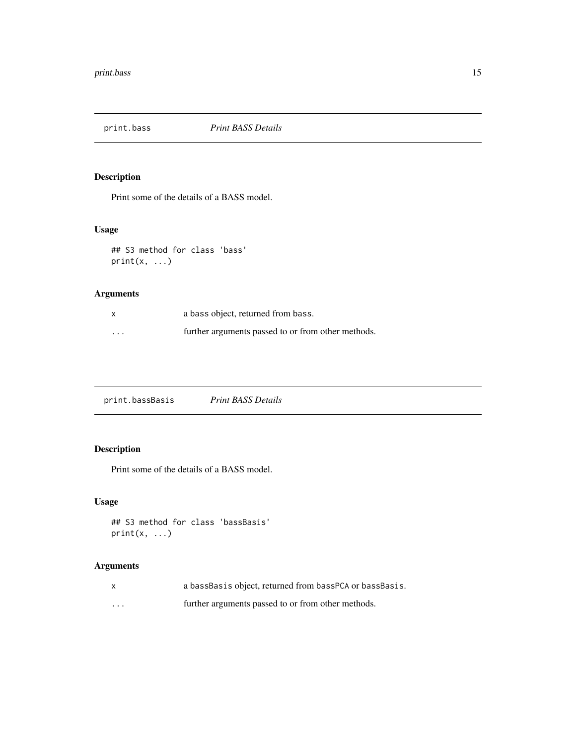<span id="page-14-0"></span>

# Description

Print some of the details of a BASS model.

# Usage

```
## S3 method for class 'bass'
print(x, \ldots)
```
# Arguments

| $\mathsf{x}$ | a bass object, returned from bass.                 |
|--------------|----------------------------------------------------|
| $\cdots$     | further arguments passed to or from other methods. |

print.bassBasis *Print BASS Details*

# Description

Print some of the details of a BASS model.

# Usage

```
## S3 method for class 'bassBasis'
print(x, \ldots)
```

|          | a bassBasis object, returned from bassPCA or bassBasis. |
|----------|---------------------------------------------------------|
| $\cdots$ | further arguments passed to or from other methods.      |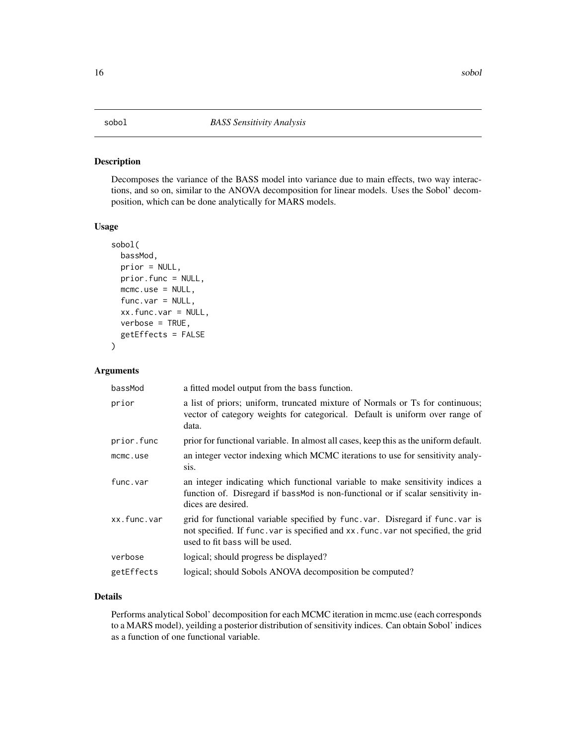# <span id="page-15-1"></span><span id="page-15-0"></span>Description

Decomposes the variance of the BASS model into variance due to main effects, two way interactions, and so on, similar to the ANOVA decomposition for linear models. Uses the Sobol' decomposition, which can be done analytically for MARS models.

# Usage

```
sobol(
 bassMod,
 prior = NULL,
 prior.func = NULL,
 mcmc.use = NULL,
 func.var = NULL,
  xx.func.var = NULL,
  verbose = TRUE,
  getEffects = FALSE
)
```
#### Arguments

| bassMod     | a fitted model output from the bass function.                                                                                                                                                        |
|-------------|------------------------------------------------------------------------------------------------------------------------------------------------------------------------------------------------------|
| prior       | a list of priors; uniform, truncated mixture of Normals or Ts for continuous;<br>vector of category weights for categorical. Default is uniform over range of<br>data.                               |
| prior.func  | prior for functional variable. In almost all cases, keep this as the uniform default.                                                                                                                |
| mcmc.use    | an integer vector indexing which MCMC iterations to use for sensitivity analy-<br>Sis.                                                                                                               |
| func.var    | an integer indicating which functional variable to make sensitivity indices a<br>function of. Disregard if bassMod is non-functional or if scalar sensitivity in-<br>dices are desired.              |
| xx.func.var | grid for functional variable specified by func.var. Disregard if func.var is<br>not specified. If func. var is specified and xx. func. var not specified, the grid<br>used to fit bass will be used. |
| verbose     | logical; should progress be displayed?                                                                                                                                                               |
| getEffects  | logical; should Sobols ANOVA decomposition be computed?                                                                                                                                              |
|             |                                                                                                                                                                                                      |

# Details

Performs analytical Sobol' decomposition for each MCMC iteration in mcmc.use (each corresponds to a MARS model), yeilding a posterior distribution of sensitivity indices. Can obtain Sobol' indices as a function of one functional variable.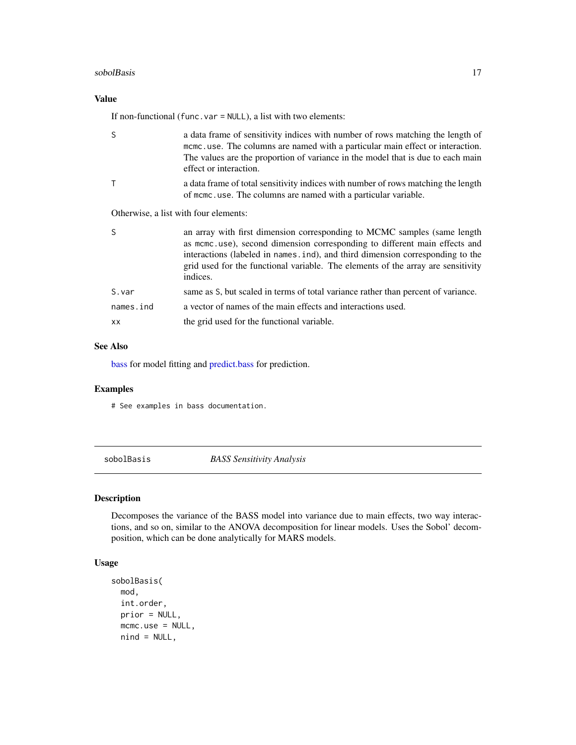#### <span id="page-16-0"></span>sobolBasis **17**

# Value

If non-functional (func.var = NULL), a list with two elements:

| S                                     | a data frame of sensitivity indices with number of rows matching the length of<br>mcmc.use. The columns are named with a particular main effect or interaction.<br>The values are the proportion of variance in the model that is due to each main<br>effect or interaction.                                                             |
|---------------------------------------|------------------------------------------------------------------------------------------------------------------------------------------------------------------------------------------------------------------------------------------------------------------------------------------------------------------------------------------|
| $\mathsf{T}$                          | a data frame of total sensitivity indices with number of rows matching the length<br>of mcmc.use. The columns are named with a particular variable.                                                                                                                                                                                      |
| Otherwise, a list with four elements: |                                                                                                                                                                                                                                                                                                                                          |
| <sub>S</sub>                          | an array with first dimension corresponding to MCMC samples (same length)<br>as mcmc.use), second dimension corresponding to different main effects and<br>interactions (labeled in names.ind), and third dimension corresponding to the<br>grid used for the functional variable. The elements of the array are sensitivity<br>indices. |
| S.var                                 | same as S, but scaled in terms of total variance rather than percent of variance.                                                                                                                                                                                                                                                        |
| names.ind                             | a vector of names of the main effects and interactions used.                                                                                                                                                                                                                                                                             |
| <b>XX</b>                             | the grid used for the functional variable.                                                                                                                                                                                                                                                                                               |

#### See Also

[bass](#page-1-1) for model fitting and [predict.bass](#page-11-1) for prediction.

#### Examples

# See examples in bass documentation.

<span id="page-16-1"></span>sobolBasis *BASS Sensitivity Analysis*

# Description

Decomposes the variance of the BASS model into variance due to main effects, two way interactions, and so on, similar to the ANOVA decomposition for linear models. Uses the Sobol' decomposition, which can be done analytically for MARS models.

# Usage

```
sobolBasis(
 mod,
  int.order,
 prior = NULL,
 mcmc.use = NULL,
 nind = NULL,
```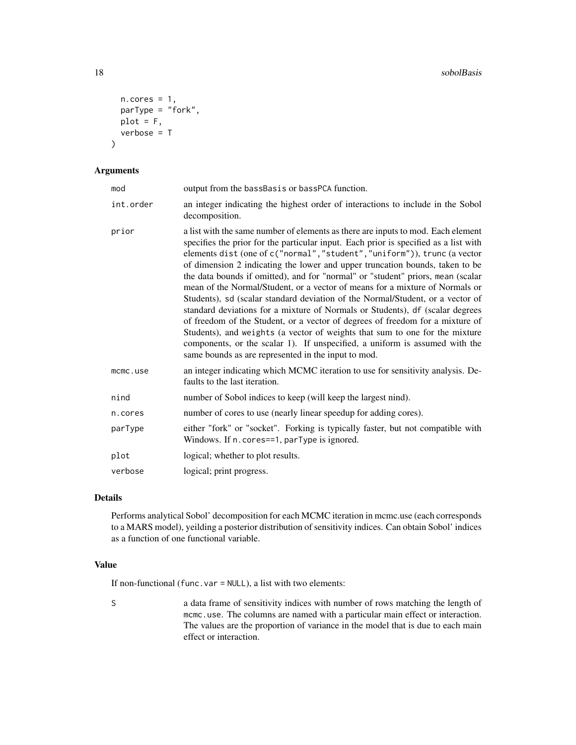```
n.core = 1,
 parType = "fork",
 plot = F,
 verbose = T
)
```
# Arguments

| mod       | output from the bassBasis or bassPCA function.                                                                                                                                                                                                                                                                                                                                                                                                                                                                                                                                                                                                                                                                                                                                                                                                                                                                                                                                    |
|-----------|-----------------------------------------------------------------------------------------------------------------------------------------------------------------------------------------------------------------------------------------------------------------------------------------------------------------------------------------------------------------------------------------------------------------------------------------------------------------------------------------------------------------------------------------------------------------------------------------------------------------------------------------------------------------------------------------------------------------------------------------------------------------------------------------------------------------------------------------------------------------------------------------------------------------------------------------------------------------------------------|
| int.order | an integer indicating the highest order of interactions to include in the Sobol<br>decomposition.                                                                                                                                                                                                                                                                                                                                                                                                                                                                                                                                                                                                                                                                                                                                                                                                                                                                                 |
| prior     | a list with the same number of elements as there are inputs to mod. Each element<br>specifies the prior for the particular input. Each prior is specified as a list with<br>elements dist (one of c("normal", "student", "uniform")), trunc (a vector<br>of dimension 2 indicating the lower and upper truncation bounds, taken to be<br>the data bounds if omitted), and for "normal" or "student" priors, mean (scalar<br>mean of the Normal/Student, or a vector of means for a mixture of Normals or<br>Students), sd (scalar standard deviation of the Normal/Student, or a vector of<br>standard deviations for a mixture of Normals or Students), df (scalar degrees<br>of freedom of the Student, or a vector of degrees of freedom for a mixture of<br>Students), and weights (a vector of weights that sum to one for the mixture<br>components, or the scalar 1). If unspecified, a uniform is assumed with the<br>same bounds as are represented in the input to mod. |
| mcmc.use  | an integer indicating which MCMC iteration to use for sensitivity analysis. De-<br>faults to the last iteration.                                                                                                                                                                                                                                                                                                                                                                                                                                                                                                                                                                                                                                                                                                                                                                                                                                                                  |
| nind      | number of Sobol indices to keep (will keep the largest nind).                                                                                                                                                                                                                                                                                                                                                                                                                                                                                                                                                                                                                                                                                                                                                                                                                                                                                                                     |
| n.cores   | number of cores to use (nearly linear speedup for adding cores).                                                                                                                                                                                                                                                                                                                                                                                                                                                                                                                                                                                                                                                                                                                                                                                                                                                                                                                  |
| parType   | either "fork" or "socket". Forking is typically faster, but not compatible with<br>Windows. If n. cores==1, parType is ignored.                                                                                                                                                                                                                                                                                                                                                                                                                                                                                                                                                                                                                                                                                                                                                                                                                                                   |
| plot      | logical; whether to plot results.                                                                                                                                                                                                                                                                                                                                                                                                                                                                                                                                                                                                                                                                                                                                                                                                                                                                                                                                                 |
| verbose   | logical; print progress.                                                                                                                                                                                                                                                                                                                                                                                                                                                                                                                                                                                                                                                                                                                                                                                                                                                                                                                                                          |

# Details

Performs analytical Sobol' decomposition for each MCMC iteration in mcmc.use (each corresponds to a MARS model), yeilding a posterior distribution of sensitivity indices. Can obtain Sobol' indices as a function of one functional variable.

# Value

If non-functional (func.var = NULL), a list with two elements:

S a data frame of sensitivity indices with number of rows matching the length of mcmc.use. The columns are named with a particular main effect or interaction. The values are the proportion of variance in the model that is due to each main effect or interaction.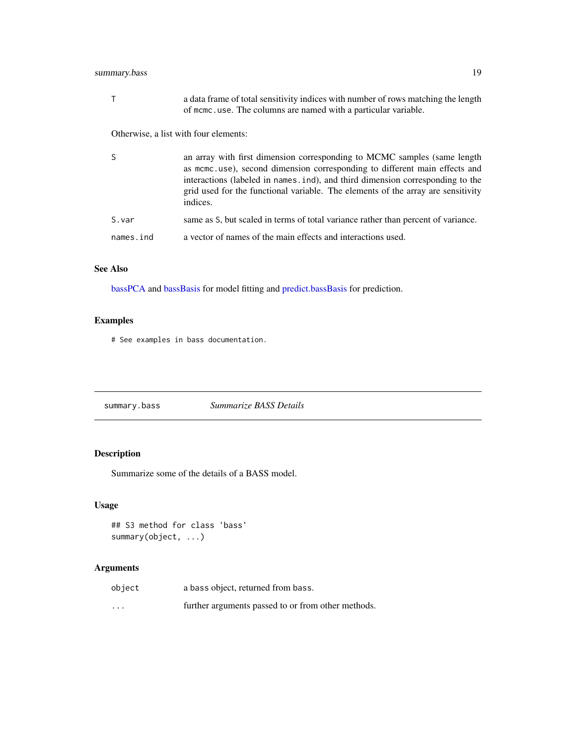# <span id="page-18-0"></span>summary.bass 19

| Τ         | a data frame of total sensitivity indices with number of rows matching the length<br>of mome, use. The columns are named with a particular variable.                                                                                                                                                                                     |
|-----------|------------------------------------------------------------------------------------------------------------------------------------------------------------------------------------------------------------------------------------------------------------------------------------------------------------------------------------------|
|           | Otherwise, a list with four elements:                                                                                                                                                                                                                                                                                                    |
| S         | an array with first dimension corresponding to MCMC samples (same length)<br>as mcmc.use), second dimension corresponding to different main effects and<br>interactions (labeled in names.ind), and third dimension corresponding to the<br>grid used for the functional variable. The elements of the array are sensitivity<br>indices. |
| S.var     | same as S, but scaled in terms of total variance rather than percent of variance.                                                                                                                                                                                                                                                        |
| names.ind | a vector of names of the main effects and interactions used.                                                                                                                                                                                                                                                                             |

## See Also

[bassPCA](#page-7-1) and [bassBasis](#page-5-1) for model fitting and [predict.bassBasis](#page-12-1) for prediction.

# Examples

# See examples in bass documentation.

summary.bass *Summarize BASS Details*

# Description

Summarize some of the details of a BASS model.

# Usage

```
## S3 method for class 'bass'
summary(object, ...)
```

| object   | a bass object, returned from bass.                 |
|----------|----------------------------------------------------|
| $\cdots$ | further arguments passed to or from other methods. |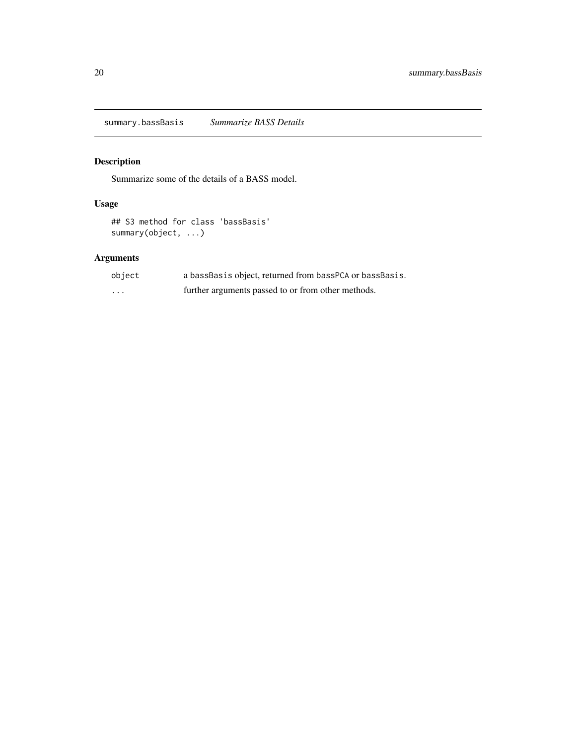<span id="page-19-0"></span>summary.bassBasis *Summarize BASS Details*

# Description

Summarize some of the details of a BASS model.

# Usage

```
## S3 method for class 'bassBasis'
summary(object, ...)
```

| object   | a bassBasis object, returned from bassPCA or bassBasis. |
|----------|---------------------------------------------------------|
| $\cdots$ | further arguments passed to or from other methods.      |